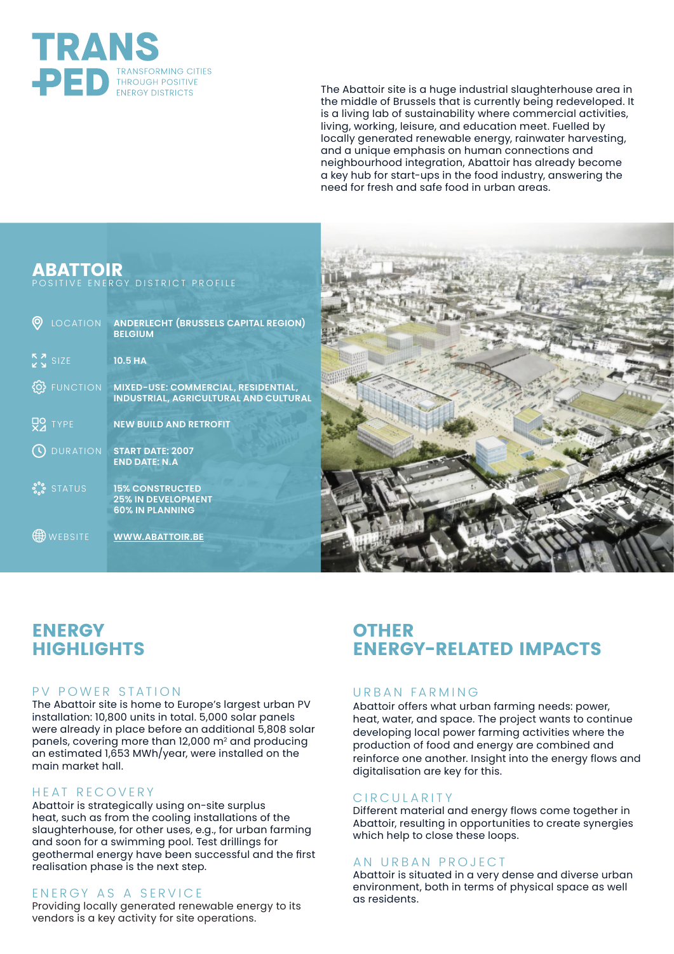

The Abattoir site is a huge industrial slaughterhouse area in the middle of Brussels that is currently being redeveloped. It is a living lab of sustainability where commercial activities, living, working, leisure, and education meet. Fuelled by locally generated renewable energy, rainwater harvesting, and a unique emphasis on human connections and neighbourhood integration, Abattoir has already become a key hub for start-ups in the food industry, answering the need for fresh and safe food in urban areas.

## **ABATTOIR**

POSITIVE ENERGY DISTRICT PROFILE

| LOCATION                                                                          | <b>ANDERLECHT (BRUSSELS CAPITAL REGION)</b><br><b>BELGIUM</b>                       |
|-----------------------------------------------------------------------------------|-------------------------------------------------------------------------------------|
| $\begin{array}{c}\nR \times \rightarrow \\ R \times \rightarrow \end{array}$ SIZE | <b>10.5 HA</b>                                                                      |
| <b>FUNCTION</b>                                                                   | MIXED-USE: COMMERCIAL, RESIDENTIAL,<br><b>INDUSTRIAL, AGRICULTURAL AND CULTURAL</b> |
| $Q2$ TYPE                                                                         | <b>NEW BUILD AND RETROFIT</b>                                                       |
| <b>DURATION</b>                                                                   | <b>START DATE: 2007</b><br><b>END DATE: N.A</b>                                     |
| <b>S.S.</b> STATUS                                                                | <b>15% CONSTRUCTED</b><br><b>25% IN DEVELOPMENT</b><br><b>60% IN PLANNING</b>       |
| WEBSITE                                                                           | <b>WWW.ABATTOIR.BE</b>                                                              |



# **ENERGY HIGHLIGHTS**

## PV POWER STATION

The Abattoir site is home to Europe's largest urban PV installation: 10,800 units in total. 5,000 solar panels were already in place before an additional 5,808 solar panels, covering more than 12,000 m2 and producing an estimated 1,653 MWh/year, were installed on the main market hall.

#### HEAT RECOVERY

Abattoir is strategically using on-site surplus heat, such as from the cooling installations of the slaughterhouse, for other uses, e.g., for urban farming and soon for a swimming pool. Test drillings for geothermal energy have been successful and the first realisation phase is the next step.

## ENERGY AS A SERVICE

Providing locally generated renewable energy to its vendors is a key activity for site operations.

# **OTHER ENERGY-RELATED IMPACTS**

## URBAN FARMING

Abattoir offers what urban farming needs: power, heat, water, and space. The project wants to continue developing local power farming activities where the production of food and energy are combined and reinforce one another. Insight into the energy flows and digitalisation are key for this.

## CIRCULARITY

Different material and energy flows come together in Abattoir, resulting in opportunities to create synergies which help to close these loops.

#### AN URBAN PROJECT

Abattoir is situated in a very dense and diverse urban environment, both in terms of physical space as well as residents.